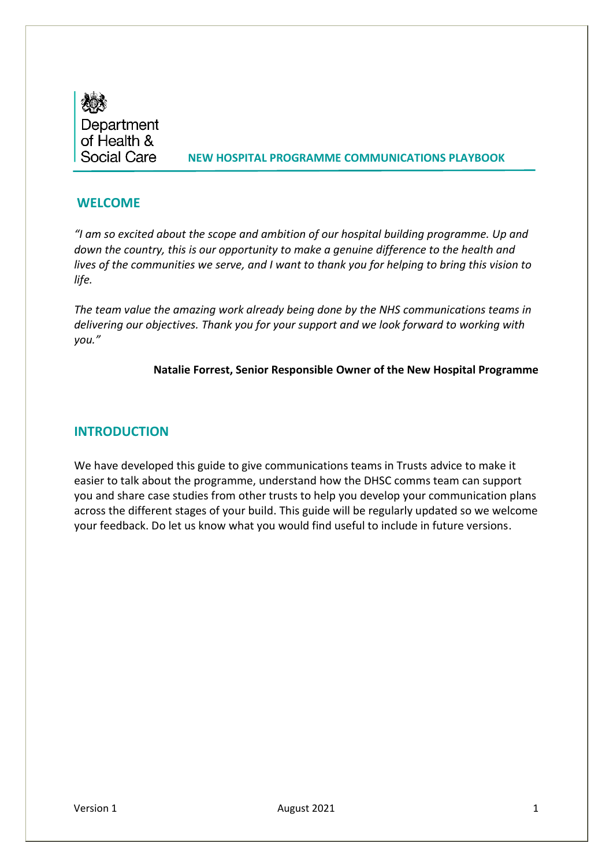

#### **NEW HOSPITAL PROGRAMME COMMUNICATIONS PLAYBOOK**

### **WELCOME**

*"I am so excited about the scope and ambition of our hospital building programme. Up and down the country, this is our opportunity to make a genuine difference to the health and lives of the communities we serve, and I want to thank you for helping to bring this vision to life.*

*The team value the amazing work already being done by the NHS communications teams in delivering our objectives. Thank you for your support and we look forward to working with you."*

#### **Natalie Forrest, Senior Responsible Owner of the New Hospital Programme**

### **INTRODUCTION**

We have developed this guide to give communications teams in Trusts advice to make it easier to talk about the programme, understand how the DHSC comms team can support you and share case studies from other trusts to help you develop your communication plans across the different stages of your build. This guide will be regularly updated so we welcome your feedback. Do let us know what you would find useful to include in future versions.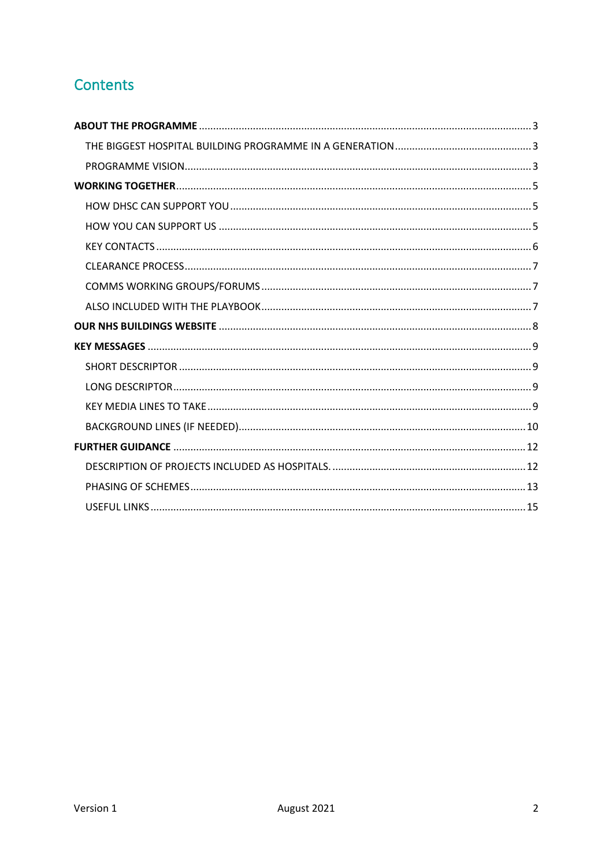# Contents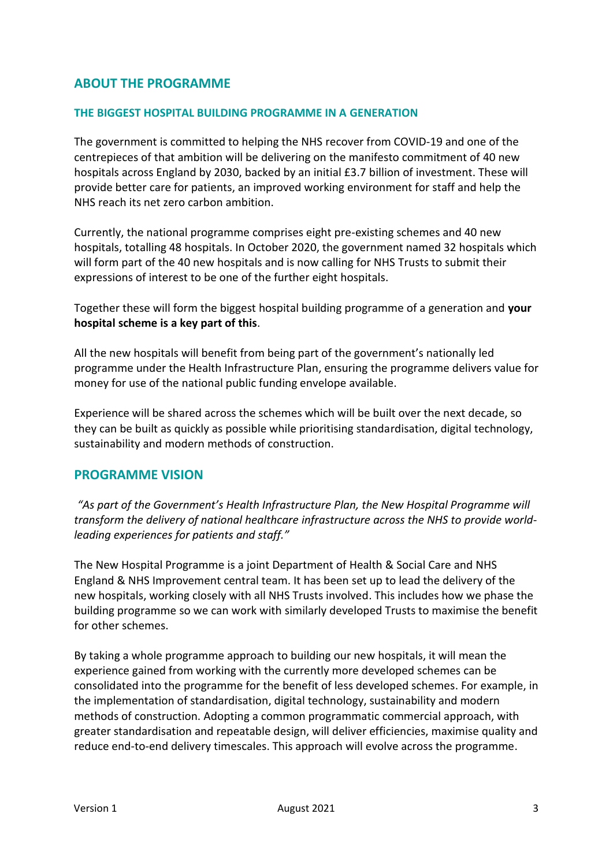## <span id="page-2-0"></span>**ABOUT THE PROGRAMME**

### <span id="page-2-1"></span>**THE BIGGEST HOSPITAL BUILDING PROGRAMME IN A GENERATION**

The government is committed to helping the NHS recover from COVID-19 and one of the centrepieces of that ambition will be delivering on the manifesto commitment of 40 new hospitals across England by 2030, backed by an initial £3.7 billion of investment. These will provide better care for patients, an improved working environment for staff and help the NHS reach its net zero carbon ambition.

Currently, the national programme comprises eight pre-existing schemes and 40 new hospitals, totalling 48 hospitals. In October 2020, the government named 32 hospitals which will form part of the 40 new hospitals and is now calling for NHS Trusts to submit their expressions of interest to be one of the further eight hospitals.

Together these will form the biggest hospital building programme of a generation and **your hospital scheme is a key part of this**.

All the new hospitals will benefit from being part of the government's nationally led programme under the Health Infrastructure Plan, ensuring the programme delivers value for money for use of the national public funding envelope available.

Experience will be shared across the schemes which will be built over the next decade, so they can be built as quickly as possible while prioritising standardisation, digital technology, sustainability and modern methods of construction.

## <span id="page-2-2"></span>**PROGRAMME VISION**

*"As part of the Government's Health Infrastructure Plan, the New Hospital Programme will transform the delivery of national healthcare infrastructure across the NHS to provide worldleading experiences for patients and staff."*

The New Hospital Programme is a joint Department of Health & Social Care and NHS England & NHS Improvement central team. It has been set up to lead the delivery of the new hospitals, working closely with all NHS Trusts involved. This includes how we phase the building programme so we can work with similarly developed Trusts to maximise the benefit for other schemes.

By taking a whole programme approach to building our new hospitals, it will mean the experience gained from working with the currently more developed schemes can be consolidated into the programme for the benefit of less developed schemes. For example, in the implementation of standardisation, digital technology, sustainability and modern methods of construction. Adopting a common programmatic commercial approach, with greater standardisation and repeatable design, will deliver efficiencies, maximise quality and reduce end-to-end delivery timescales. This approach will evolve across the programme.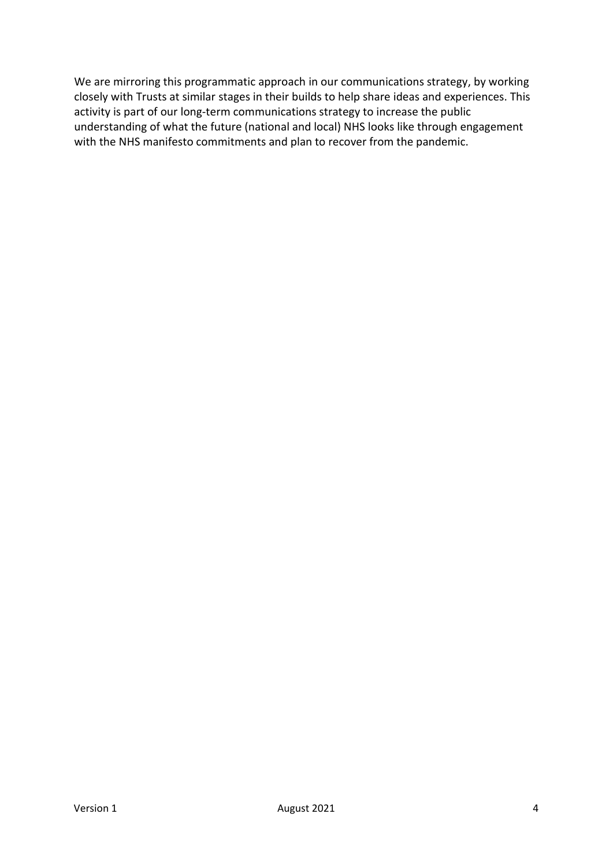We are mirroring this programmatic approach in our communications strategy, by working closely with Trusts at similar stages in their builds to help share ideas and experiences. This activity is part of our long-term communications strategy to increase the public understanding of what the future (national and local) NHS looks like through engagement with the NHS manifesto commitments and plan to recover from the pandemic.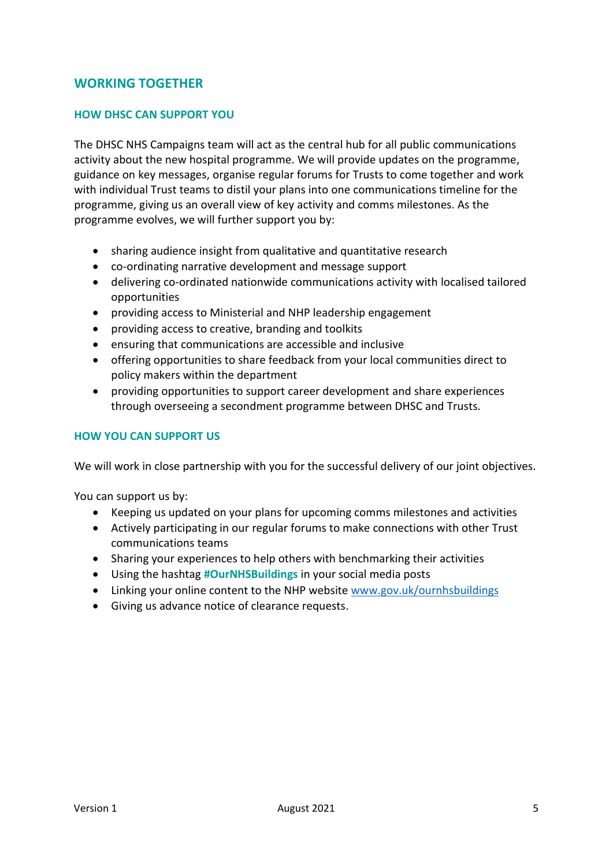## <span id="page-4-0"></span>**WORKING TOGETHER**

## <span id="page-4-1"></span>**HOW DHSC CAN SUPPORT YOU**

The DHSC NHS Campaigns team will act as the central hub for all public communications activity about the new hospital programme. We will provide updates on the programme, guidance on key messages, organise regular forums for Trusts to come together and work with individual Trust teams to distil your plans into one communications timeline for the programme, giving us an overall view of key activity and comms milestones. As the programme evolves, we will further support you by:

- sharing audience insight from qualitative and quantitative research
- co-ordinating narrative development and message support
- delivering co-ordinated nationwide communications activity with localised tailored opportunities
- providing access to Ministerial and NHP leadership engagement
- providing access to creative, branding and toolkits
- ensuring that communications are accessible and inclusive
- offering opportunities to share feedback from your local communities direct to policy makers within the department
- providing opportunities to support career development and share experiences through overseeing a secondment programme between DHSC and Trusts.

### <span id="page-4-2"></span>**HOW YOU CAN SUPPORT US**

We will work in close partnership with you for the successful delivery of our joint objectives.

You can support us by:

- Keeping us updated on your plans for upcoming comms milestones and activities
- Actively participating in our regular forums to make connections with other Trust communications teams
- Sharing your experiences to help others with benchmarking their activities
- Using the hashtag **#OurNHSBuildings** in your social media posts
- Linking your online content to the NHP website [www.gov.uk/ournhsbuildings](http://www.gov.uk/ournhsbuildings)
- Giving us advance notice of clearance requests.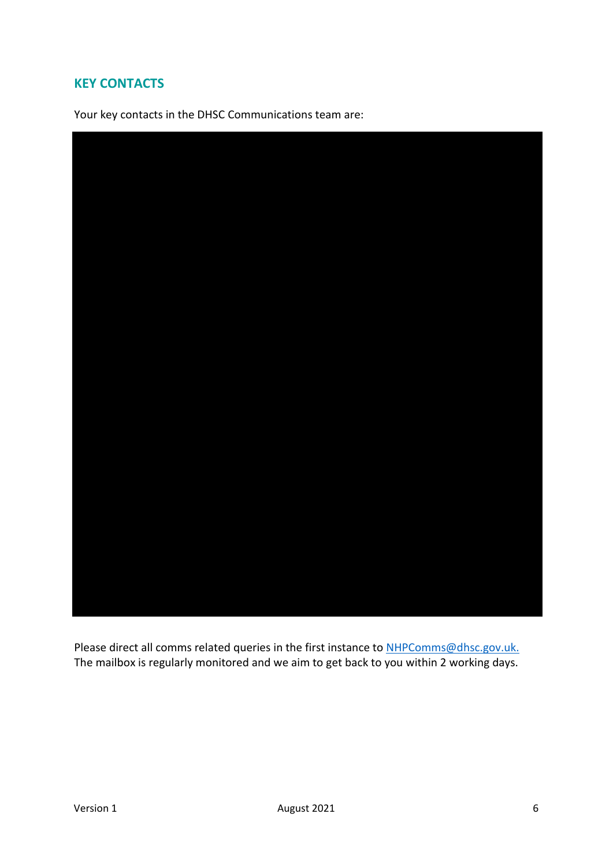## <span id="page-5-0"></span>**KEY CONTACTS**

Your key contacts in the DHSC Communications team are:



Please direct all comms related queries in the first instance to [NHPComms@dhsc.gov.uk.](mailto:NHPComms@dhsc.gov.uk) The mailbox is regularly monitored and we aim to get back to you within 2 working days.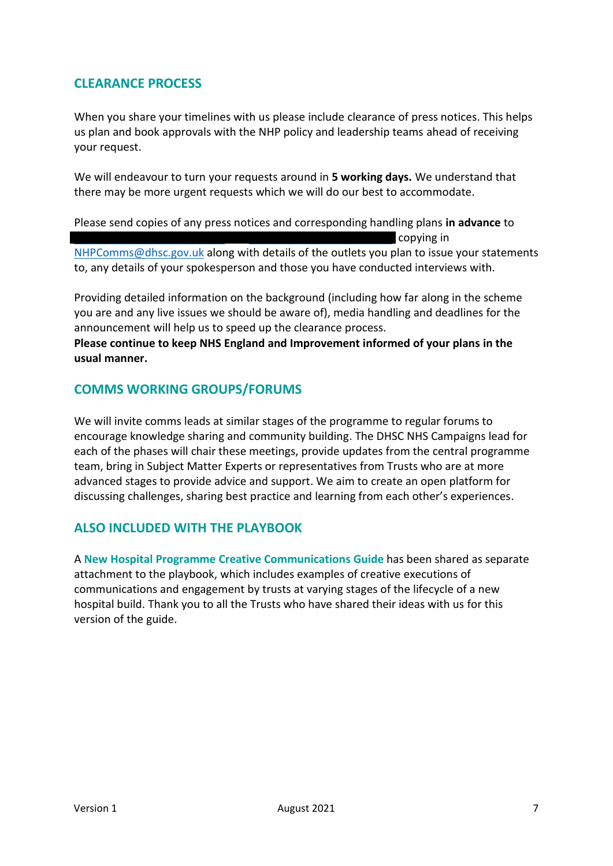## <span id="page-6-0"></span>**CLEARANCE PROCESS**

When you share your timelines with us please include clearance of press notices. This helps us plan and book approvals with the NHP policy and leadership teams ahead of receiving your request.

We will endeavour to turn your requests around in **5 working days.** We understand that there may be more urgent requests which we will do our best to accommodate.

Please send copies of any press notices and corresponding handling plans **in advance** to copying in [NHPComms@dhsc.gov.uk](mailto:NHPComms@dhsc.gov.uk) along with details of the outlets you plan to issue your statements to, any details of your spokesperson and those you have conducted interviews with.

Providing detailed information on the background (including how far along in the scheme you are and any live issues we should be aware of), media handling and deadlines for the announcement will help us to speed up the clearance process.

**Please continue to keep NHS England and Improvement informed of your plans in the usual manner.**

## <span id="page-6-1"></span>**COMMS WORKING GROUPS/FORUMS**

We will invite comms leads at similar stages of the programme to regular forums to encourage knowledge sharing and community building. The DHSC NHS Campaigns lead for each of the phases will chair these meetings, provide updates from the central programme team, bring in Subject Matter Experts or representatives from Trusts who are at more advanced stages to provide advice and support. We aim to create an open platform for discussing challenges, sharing best practice and learning from each other's experiences.

## <span id="page-6-2"></span>**ALSO INCLUDED WITH THE PLAYBOOK**

A **New Hospital Programme Creative Communications Guide** has been shared as separate attachment to the playbook, which includes examples of creative executions of communications and engagement by trusts at varying stages of the lifecycle of a new hospital build. Thank you to all the Trusts who have shared their ideas with us for this version of the guide.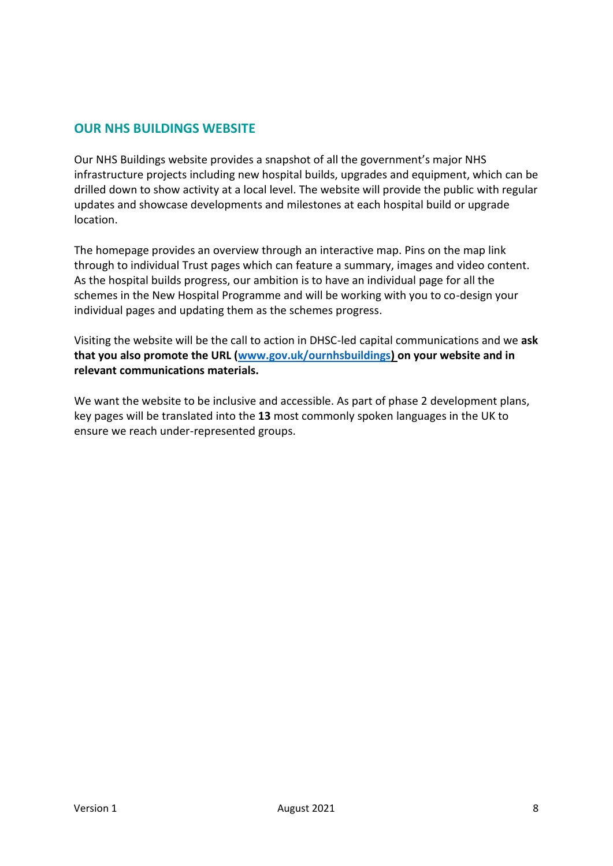## <span id="page-7-0"></span>**OUR NHS BUILDINGS WEBSITE**

Our NHS Buildings website provides a snapshot of all the government's major NHS infrastructure projects including new hospital builds, upgrades and equipment, which can be drilled down to show activity at a local level. The website will provide the public with regular updates and showcase developments and milestones at each hospital build or upgrade location.

The homepage provides an overview through an interactive map. Pins on the map link through to individual Trust pages which can feature a summary, images and video content. As the hospital builds progress, our ambition is to have an individual page for all the schemes in the New Hospital Programme and will be working with you to co-design your individual pages and updating them as the schemes progress.

Visiting the website will be the call to action in DHSC-led capital communications and we **ask that you also promote the URL [\(www.gov.uk/ournhsbuildings\)](https://www.gov.uk/ournhsbuildings) on your website and in relevant communications materials.**

We want the website to be inclusive and accessible. As part of phase 2 development plans, key pages will be translated into the **13** most commonly spoken languages in the UK to ensure we reach under-represented groups.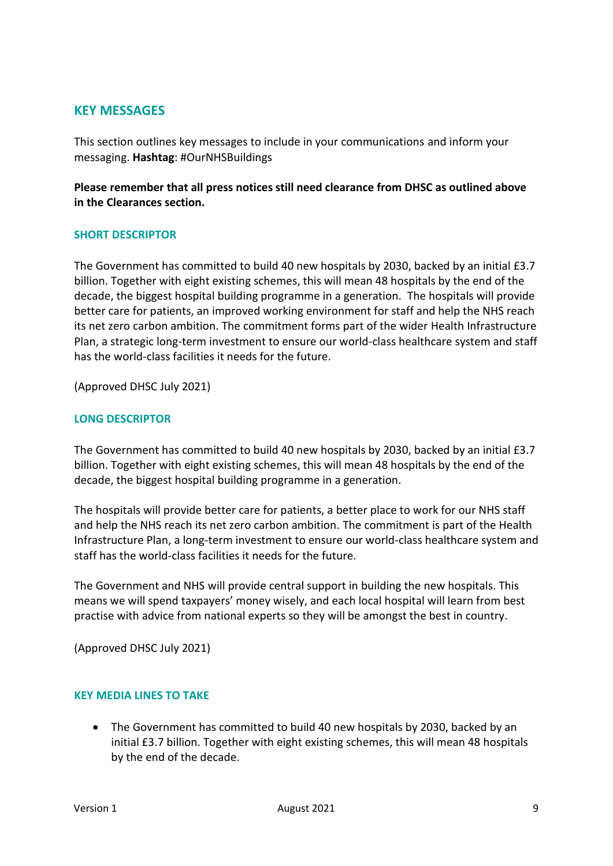## <span id="page-8-0"></span>**KEY MESSAGES**

This section outlines key messages to include in your communications and inform your messaging. **Hashtag**: #OurNHSBuildings

**Please remember that all press notices still need clearance from DHSC as outlined above in the Clearances section.**

#### <span id="page-8-1"></span>**SHORT DESCRIPTOR**

The Government has committed to build 40 new hospitals by 2030, backed by an initial £3.7 billion. Together with eight existing schemes, this will mean 48 hospitals by the end of the decade, the biggest hospital building programme in a generation. The hospitals will provide better care for patients, an improved working environment for staff and help the NHS reach its net zero carbon ambition. The commitment forms part of the wider Health Infrastructure Plan, a strategic long-term investment to ensure our world-class healthcare system and staff has the world-class facilities it needs for the future.

(Approved DHSC July 2021)

### <span id="page-8-2"></span>**LONG DESCRIPTOR**

The Government has committed to build 40 new hospitals by 2030, backed by an initial £3.7 billion. Together with eight existing schemes, this will mean 48 hospitals by the end of the decade, the biggest hospital building programme in a generation.

The hospitals will provide better care for patients, a better place to work for our NHS staff and help the NHS reach its net zero carbon ambition. The commitment is part of the Health Infrastructure Plan, a long-term investment to ensure our world-class healthcare system and staff has the world-class facilities it needs for the future.

The Government and NHS will provide central support in building the new hospitals. This means we will spend taxpayers' money wisely, and each local hospital will learn from best practise with advice from national experts so they will be amongst the best in country.

(Approved DHSC July 2021)

### <span id="page-8-3"></span>**KEY MEDIA LINES TO TAKE**

• The Government has committed to build 40 new hospitals by 2030, backed by an initial £3.7 billion. Together with eight existing schemes, this will mean 48 hospitals by the end of the decade.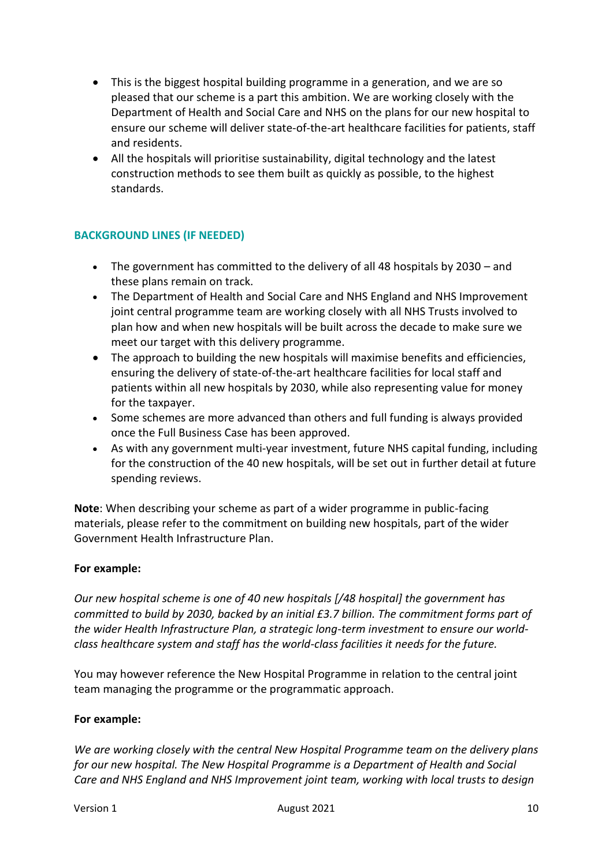- This is the biggest hospital building programme in a generation, and we are so pleased that our scheme is a part this ambition. We are working closely with the Department of Health and Social Care and NHS on the plans for our new hospital to ensure our scheme will deliver state-of-the-art healthcare facilities for patients, staff and residents.
- All the hospitals will prioritise sustainability, digital technology and the latest construction methods to see them built as quickly as possible, to the highest standards.

## <span id="page-9-0"></span>**BACKGROUND LINES (IF NEEDED)**

- The government has committed to the delivery of all 48 hospitals by 2030 and these plans remain on track.
- The Department of Health and Social Care and NHS England and NHS Improvement joint central programme team are working closely with all NHS Trusts involved to plan how and when new hospitals will be built across the decade to make sure we meet our target with this delivery programme.
- The approach to building the new hospitals will maximise benefits and efficiencies, ensuring the delivery of state-of-the-art healthcare facilities for local staff and patients within all new hospitals by 2030, while also representing value for money for the taxpayer.
- Some schemes are more advanced than others and full funding is always provided once the Full Business Case has been approved.
- As with any government multi-year investment, future NHS capital funding, including for the construction of the 40 new hospitals, will be set out in further detail at future spending reviews.

**Note**: When describing your scheme as part of a wider programme in public-facing materials, please refer to the commitment on building new hospitals, part of the wider Government Health Infrastructure Plan.

### **For example:**

*Our new hospital scheme is one of 40 new hospitals [/48 hospital] the government has committed to build by 2030, backed by an initial £3.7 billion. The commitment forms part of the wider Health Infrastructure Plan, a strategic long-term investment to ensure our worldclass healthcare system and staff has the world-class facilities it needs for the future.*

You may however reference the New Hospital Programme in relation to the central joint team managing the programme or the programmatic approach.

#### **For example:**

*We are working closely with the central New Hospital Programme team on the delivery plans for our new hospital. The New Hospital Programme is a Department of Health and Social Care and NHS England and NHS Improvement joint team, working with local trusts to design*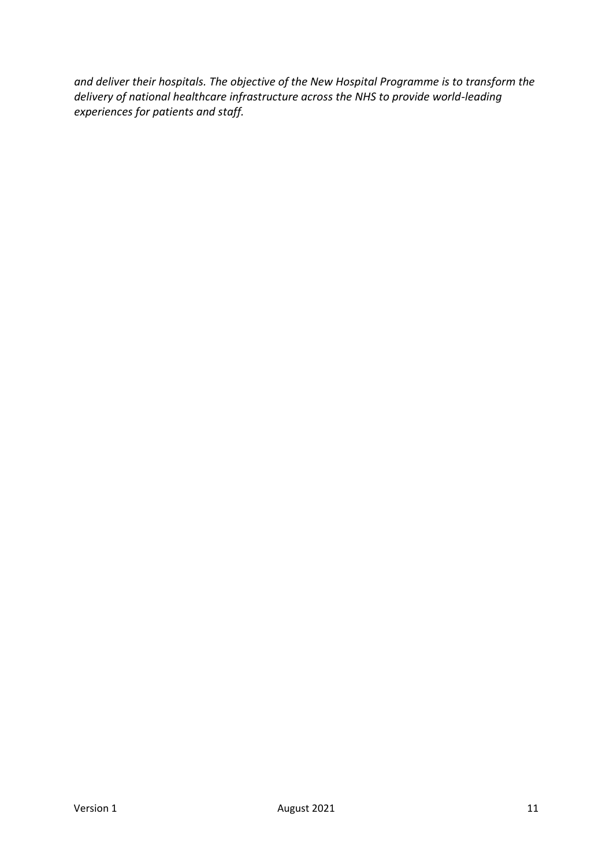*and deliver their hospitals. The objective of the New Hospital Programme is to transform the delivery of national healthcare infrastructure across the NHS to provide world-leading experiences for patients and staff.*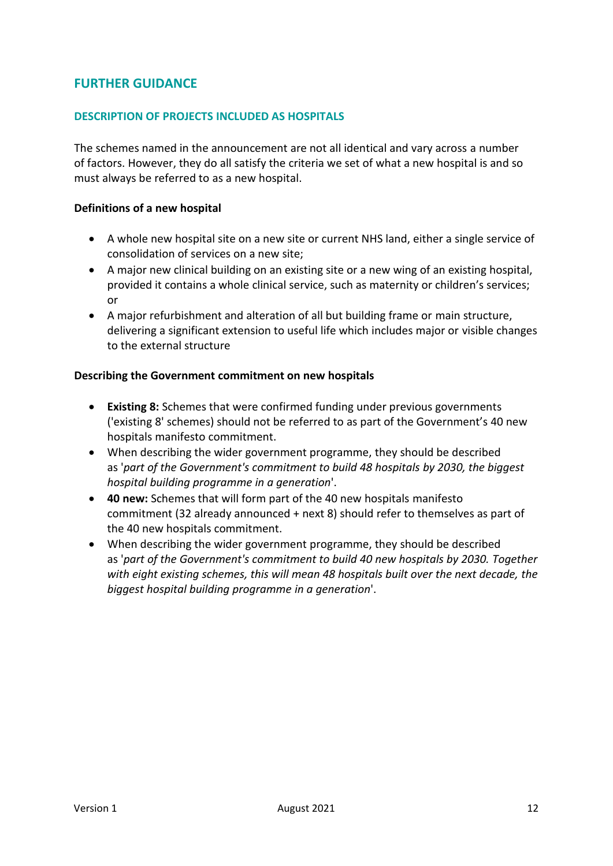## <span id="page-11-0"></span>**FURTHER GUIDANCE**

### <span id="page-11-1"></span>**DESCRIPTION OF PROJECTS INCLUDED AS HOSPITALS**

The schemes named in the announcement are not all identical and vary across a number of factors. However, they do all satisfy the criteria we set of what a new hospital is and so must always be referred to as a new hospital.

#### **Definitions of a new hospital**

- A whole new hospital site on a new site or current NHS land, either a single service of consolidation of services on a new site;
- A major new clinical building on an existing site or a new wing of an existing hospital, provided it contains a whole clinical service, such as maternity or children's services; or
- A major refurbishment and alteration of all but building frame or main structure, delivering a significant extension to useful life which includes major or visible changes to the external structure

#### **Describing the Government commitment on new hospitals**

- **Existing 8:** Schemes that were confirmed funding under previous governments ('existing 8' schemes) should not be referred to as part of the Government's 40 new hospitals manifesto commitment.
- When describing the wider government programme, they should be described as '*part of the Government's commitment to build 48 hospitals by 2030, the biggest hospital building programme in a generation*'.
- **40 new:** Schemes that will form part of the 40 new hospitals manifesto commitment (32 already announced + next 8) should refer to themselves as part of the 40 new hospitals commitment.
- When describing the wider government programme, they should be described as '*part of the Government's commitment to build 40 new hospitals by 2030. Together with eight existing schemes, this will mean 48 hospitals built over the next decade, the biggest hospital building programme in a generation*'.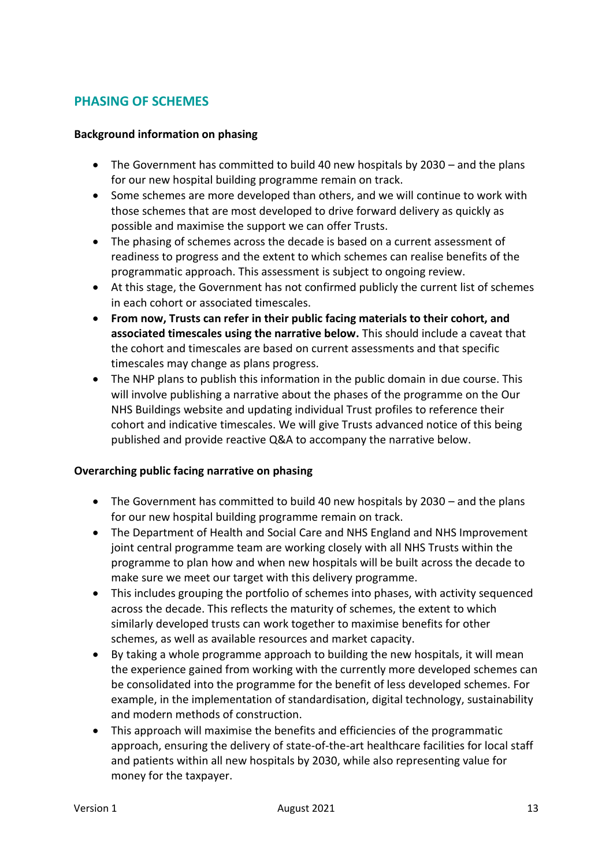## <span id="page-12-0"></span>**PHASING OF SCHEMES**

## **Background information on phasing**

- The Government has committed to build 40 new hospitals by 2030 and the plans for our new hospital building programme remain on track.
- Some schemes are more developed than others, and we will continue to work with those schemes that are most developed to drive forward delivery as quickly as possible and maximise the support we can offer Trusts.
- The phasing of schemes across the decade is based on a current assessment of readiness to progress and the extent to which schemes can realise benefits of the programmatic approach. This assessment is subject to ongoing review.
- At this stage, the Government has not confirmed publicly the current list of schemes in each cohort or associated timescales.
- **From now, Trusts can refer in their public facing materials to their cohort, and associated timescales using the narrative below.** This should include a caveat that the cohort and timescales are based on current assessments and that specific timescales may change as plans progress.
- The NHP plans to publish this information in the public domain in due course. This will involve publishing a narrative about the phases of the programme on the Our NHS Buildings website and updating individual Trust profiles to reference their cohort and indicative timescales. We will give Trusts advanced notice of this being published and provide reactive Q&A to accompany the narrative below.

## **Overarching public facing narrative on phasing**

- The Government has committed to build 40 new hospitals by 2030 and the plans for our new hospital building programme remain on track.
- The Department of Health and Social Care and NHS England and NHS Improvement joint central programme team are working closely with all NHS Trusts within the programme to plan how and when new hospitals will be built across the decade to make sure we meet our target with this delivery programme.
- This includes grouping the portfolio of schemes into phases, with activity sequenced across the decade. This reflects the maturity of schemes, the extent to which similarly developed trusts can work together to maximise benefits for other schemes, as well as available resources and market capacity.
- By taking a whole programme approach to building the new hospitals, it will mean the experience gained from working with the currently more developed schemes can be consolidated into the programme for the benefit of less developed schemes. For example, in the implementation of standardisation, digital technology, sustainability and modern methods of construction.
- This approach will maximise the benefits and efficiencies of the programmatic approach, ensuring the delivery of state-of-the-art healthcare facilities for local staff and patients within all new hospitals by 2030, while also representing value for money for the taxpayer.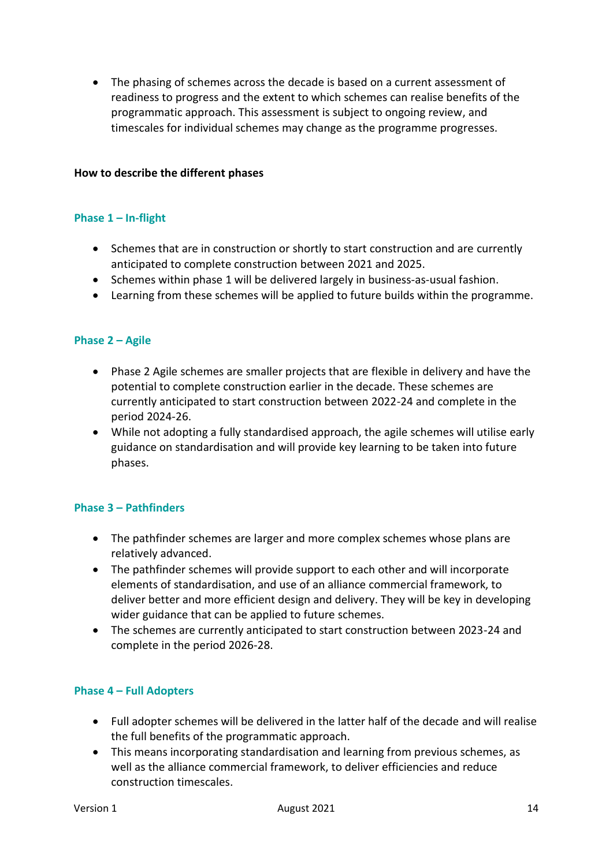• The phasing of schemes across the decade is based on a current assessment of readiness to progress and the extent to which schemes can realise benefits of the programmatic approach. This assessment is subject to ongoing review, and timescales for individual schemes may change as the programme progresses.

### **How to describe the different phases**

## **Phase 1 – In-flight**

- Schemes that are in construction or shortly to start construction and are currently anticipated to complete construction between 2021 and 2025.
- Schemes within phase 1 will be delivered largely in business-as-usual fashion.
- Learning from these schemes will be applied to future builds within the programme.

## **Phase 2 – Agile**

- Phase 2 Agile schemes are smaller projects that are flexible in delivery and have the potential to complete construction earlier in the decade. These schemes are currently anticipated to start construction between 2022-24 and complete in the period 2024-26.
- While not adopting a fully standardised approach, the agile schemes will utilise early guidance on standardisation and will provide key learning to be taken into future phases.

### **Phase 3 – Pathfinders**

- The pathfinder schemes are larger and more complex schemes whose plans are relatively advanced.
- The pathfinder schemes will provide support to each other and will incorporate elements of standardisation, and use of an alliance commercial framework, to deliver better and more efficient design and delivery. They will be key in developing wider guidance that can be applied to future schemes.
- The schemes are currently anticipated to start construction between 2023-24 and complete in the period 2026-28.

### **Phase 4 – Full Adopters**

- Full adopter schemes will be delivered in the latter half of the decade and will realise the full benefits of the programmatic approach.
- This means incorporating standardisation and learning from previous schemes, as well as the alliance commercial framework, to deliver efficiencies and reduce construction timescales.